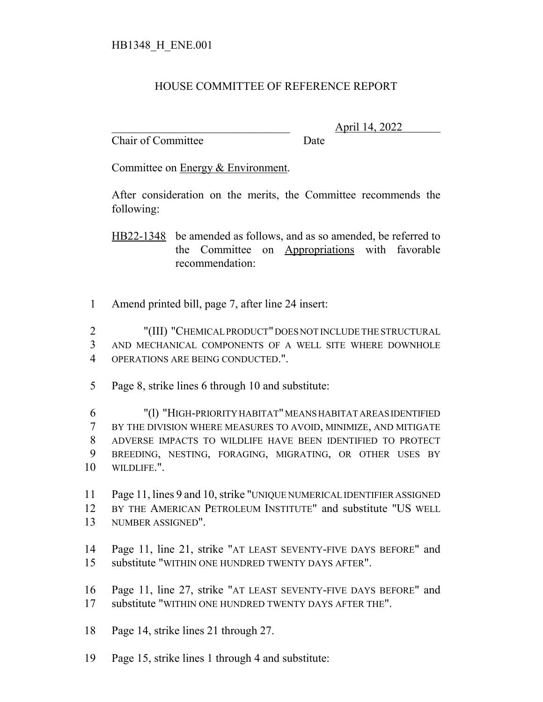## HOUSE COMMITTEE OF REFERENCE REPORT

Chair of Committee Date

\_\_\_\_\_\_\_\_\_\_\_\_\_\_\_\_\_\_\_\_\_\_\_\_\_\_\_\_\_\_\_ April 14, 2022

Committee on Energy & Environment.

After consideration on the merits, the Committee recommends the following:

HB22-1348 be amended as follows, and as so amended, be referred to the Committee on Appropriations with favorable recommendation:

Amend printed bill, page 7, after line 24 insert:

 "(III) "CHEMICAL PRODUCT" DOES NOT INCLUDE THE STRUCTURAL AND MECHANICAL COMPONENTS OF A WELL SITE WHERE DOWNHOLE OPERATIONS ARE BEING CONDUCTED.".

Page 8, strike lines 6 through 10 and substitute:

 "(l) "HIGH-PRIORITY HABITAT" MEANS HABITAT AREAS IDENTIFIED BY THE DIVISION WHERE MEASURES TO AVOID, MINIMIZE, AND MITIGATE ADVERSE IMPACTS TO WILDLIFE HAVE BEEN IDENTIFIED TO PROTECT BREEDING, NESTING, FORAGING, MIGRATING, OR OTHER USES BY WILDLIFE.".

 Page 11, lines 9 and 10, strike "UNIQUE NUMERICAL IDENTIFIER ASSIGNED BY THE AMERICAN PETROLEUM INSTITUTE" and substitute "US WELL NUMBER ASSIGNED".

- Page 11, line 21, strike "AT LEAST SEVENTY-FIVE DAYS BEFORE" and substitute "WITHIN ONE HUNDRED TWENTY DAYS AFTER".
- Page 11, line 27, strike "AT LEAST SEVENTY-FIVE DAYS BEFORE" and substitute "WITHIN ONE HUNDRED TWENTY DAYS AFTER THE".
- Page 14, strike lines 21 through 27.
- Page 15, strike lines 1 through 4 and substitute: